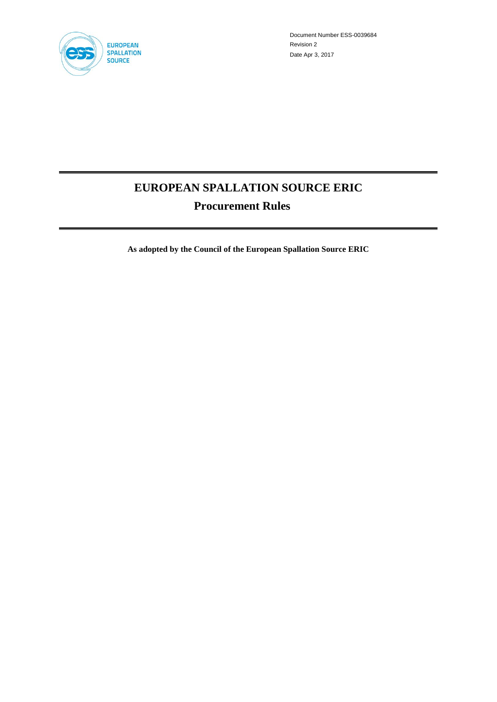

Document Number ESS-0039684 Revision 2 Date Apr 3, 2017

# **EUROPEAN SPALLATION SOURCE ERIC Procurement Rules**

**As adopted by the Council of the European Spallation Source ERIC**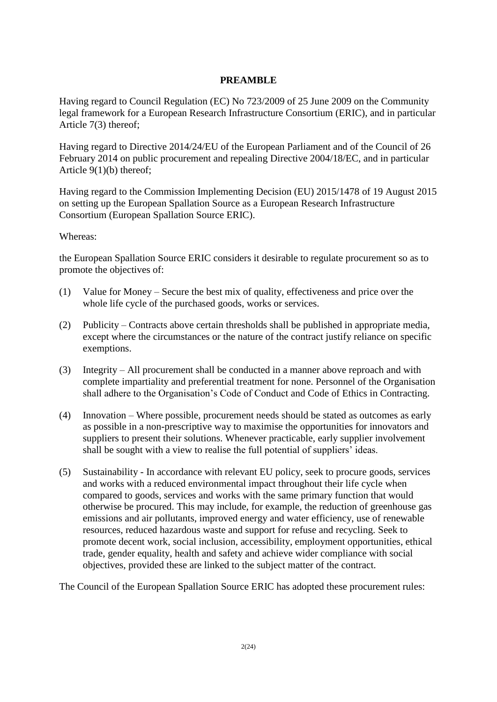# **PREAMBLE**

Having regard to Council Regulation (EC) No 723/2009 of 25 June 2009 on the Community legal framework for a European Research Infrastructure Consortium (ERIC), and in particular Article 7(3) thereof;

Having regard to Directive 2014/24/EU of the European Parliament and of the Council of 26 February 2014 on public procurement and repealing Directive 2004/18/EC, and in particular Article 9(1)(b) thereof;

Having regard to the Commission Implementing Decision (EU) 2015/1478 of 19 August 2015 on setting up the European Spallation Source as a European Research Infrastructure Consortium (European Spallation Source ERIC).

# Whereas:

the European Spallation Source ERIC considers it desirable to regulate procurement so as to promote the objectives of:

- (1) Value for Money Secure the best mix of quality, effectiveness and price over the whole life cycle of the purchased goods, works or services.
- (2) Publicity Contracts above certain thresholds shall be published in appropriate media, except where the circumstances or the nature of the contract justify reliance on specific exemptions.
- (3) Integrity All procurement shall be conducted in a manner above reproach and with complete impartiality and preferential treatment for none. Personnel of the Organisation shall adhere to the Organisation's Code of Conduct and Code of Ethics in Contracting.
- (4) Innovation Where possible, procurement needs should be stated as outcomes as early as possible in a non-prescriptive way to maximise the opportunities for innovators and suppliers to present their solutions. Whenever practicable, early supplier involvement shall be sought with a view to realise the full potential of suppliers' ideas.
- (5) Sustainability In accordance with relevant EU policy, seek to procure goods, services and works with a reduced environmental impact throughout their life cycle when compared to goods, services and works with the same primary function that would otherwise be procured. This may include, for example, the reduction of greenhouse gas emissions and air pollutants, improved energy and water efficiency, use of renewable resources, reduced hazardous waste and support for refuse and recycling. Seek to promote decent work, social inclusion, accessibility, employment opportunities, ethical trade, gender equality, health and safety and achieve wider compliance with social objectives, provided these are linked to the subject matter of the contract.

The Council of the European Spallation Source ERIC has adopted these procurement rules: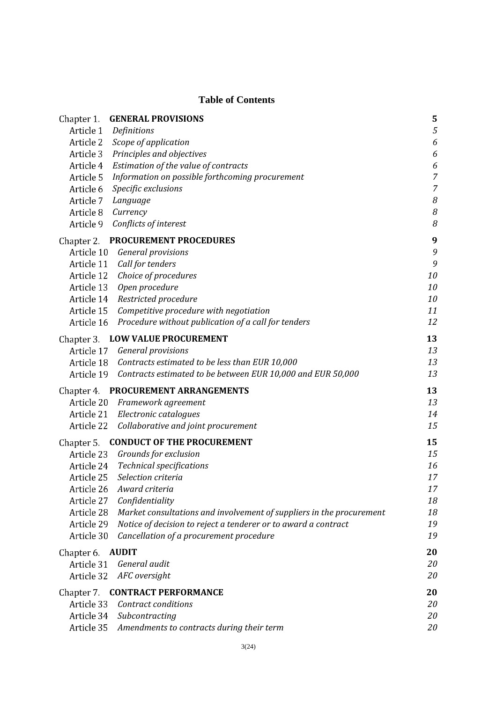# **Table of Contents**

| Chapter 1. | <b>GENERAL PROVISIONS</b>                                            | 5                |
|------------|----------------------------------------------------------------------|------------------|
| Article 1  | Definitions                                                          | 5                |
| Article 2  | Scope of application                                                 | 6                |
| Article 3  | Principles and objectives                                            | 6                |
| Article 4  | Estimation of the value of contracts                                 | $\boldsymbol{6}$ |
| Article 5  | Information on possible forthcoming procurement                      | $\overline{7}$   |
| Article 6  | Specific exclusions                                                  | $\overline{7}$   |
| Article 7  | Language                                                             | 8                |
| Article 8  | Currency                                                             | 8                |
| Article 9  | Conflicts of interest                                                | 8                |
|            | Chapter 2. PROCUREMENT PROCEDURES                                    | 9                |
| Article 10 | <b>General provisions</b>                                            | 9                |
| Article 11 | Call for tenders                                                     | 9                |
| Article 12 | Choice of procedures                                                 | 10               |
| Article 13 | Open procedure                                                       | 10               |
| Article 14 | Restricted procedure                                                 | 10               |
| Article 15 | Competitive procedure with negotiation                               | 11               |
| Article 16 | Procedure without publication of a call for tenders                  | 12               |
| Chapter 3. | <b>LOW VALUE PROCUREMENT</b>                                         | 13               |
| Article 17 | <b>General provisions</b>                                            | 13               |
| Article 18 | Contracts estimated to be less than EUR 10,000                       | 13               |
| Article 19 | Contracts estimated to be between EUR 10,000 and EUR 50,000          | 13               |
| Chapter 4. | PROCUREMENT ARRANGEMENTS                                             | 13               |
| Article 20 | Framework agreement                                                  | 13               |
|            | Article 21 Electronic catalogues                                     | 14               |
| Article 22 | Collaborative and joint procurement                                  | 15               |
| Chapter 5. | <b>CONDUCT OF THE PROCUREMENT</b>                                    | 15               |
| Article 23 | Grounds for exclusion                                                | 15               |
| Article 24 | <b>Technical specifications</b>                                      | 16               |
| Article 25 | Selection criteria                                                   | 17               |
| Article 26 | Award criteria                                                       | 17               |
| Article 27 | Confidentiality                                                      | 18               |
| Article 28 | Market consultations and involvement of suppliers in the procurement | 18               |
| Article 29 | Notice of decision to reject a tenderer or to award a contract       | 19               |
| Article 30 | Cancellation of a procurement procedure                              | 19               |
| Chapter 6. | <b>AUDIT</b>                                                         | 20               |
| Article 31 | General audit                                                        | 20               |
| Article 32 | AFC oversight                                                        | 20               |
| Chapter 7. | <b>CONTRACT PERFORMANCE</b>                                          | 20               |
| Article 33 | Contract conditions                                                  | 20               |
| Article 34 | Subcontracting                                                       | 20               |
| Article 35 | Amendments to contracts during their term                            | 20               |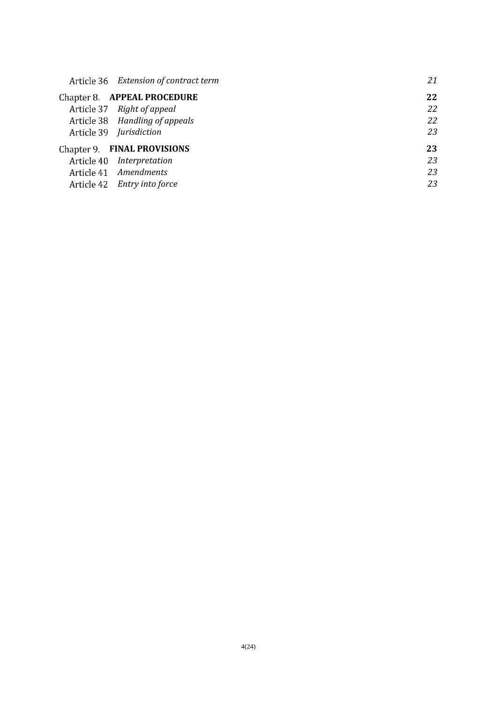| Article 36 Extension of contract term | 21 |
|---------------------------------------|----|
| Chapter 8. APPEAL PROCEDURE           | 22 |
| Article 37 Right of appeal            | 22 |
| Article 38 Handling of appeals        | 22 |
| Article 39 <i>Jurisdiction</i>        | 23 |
| Chapter 9. FINAL PROVISIONS           | 23 |
| Article 40 Interpretation             | 23 |
| Article 41 Amendments                 | 23 |
| Article 42 Entry into force           | 23 |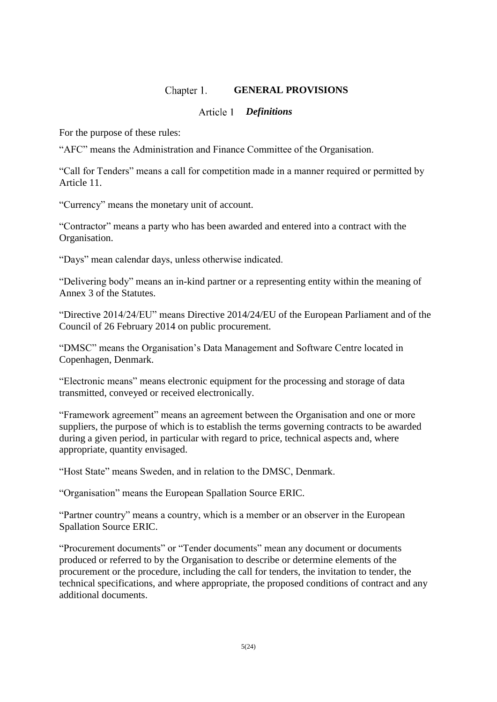#### Chapter 1. **GENERAL PROVISIONS**

# *Definitions*

For the purpose of these rules:

"AFC" means the Administration and Finance Committee of the Organisation.

"Call for Tenders" means a call for competition made in a manner required or permitted by Article 11.

"Currency" means the monetary unit of account.

"Contractor" means a party who has been awarded and entered into a contract with the Organisation.

"Days" mean calendar days, unless otherwise indicated.

"Delivering body" means an in-kind partner or a representing entity within the meaning of Annex 3 of the Statutes.

"Directive 2014/24/EU" means Directive 2014/24/EU of the European Parliament and of the Council of 26 February 2014 on public procurement.

"DMSC" means the Organisation's Data Management and Software Centre located in Copenhagen, Denmark.

"Electronic means" means electronic equipment for the processing and storage of data transmitted, conveyed or received electronically.

"Framework agreement" means an agreement between the Organisation and one or more suppliers, the purpose of which is to establish the terms governing contracts to be awarded during a given period, in particular with regard to price, technical aspects and, where appropriate, quantity envisaged.

"Host State" means Sweden, and in relation to the DMSC, Denmark.

"Organisation" means the European Spallation Source ERIC.

"Partner country" means a country, which is a member or an observer in the European Spallation Source ERIC.

"Procurement documents" or "Tender documents" mean any document or documents produced or referred to by the Organisation to describe or determine elements of the procurement or the procedure, including the call for tenders, the invitation to tender, the technical specifications, and where appropriate, the proposed conditions of contract and any additional documents.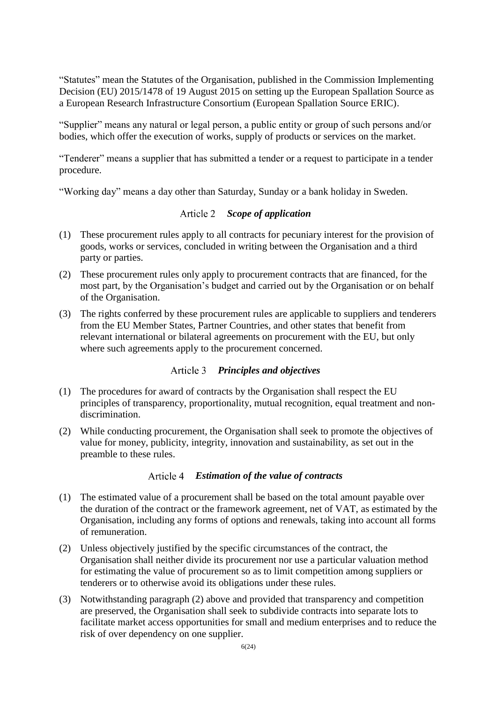"Statutes" mean the Statutes of the Organisation, published in the Commission Implementing Decision (EU) 2015/1478 of 19 August 2015 on setting up the European Spallation Source as a European Research Infrastructure Consortium (European Spallation Source ERIC).

"Supplier" means any natural or legal person, a public entity or group of such persons and/or bodies, which offer the execution of works, supply of products or services on the market.

"Tenderer" means a supplier that has submitted a tender or a request to participate in a tender procedure.

"Working day" means a day other than Saturday, Sunday or a bank holiday in Sweden.

# *Scope of application*

- (1) These procurement rules apply to all contracts for pecuniary interest for the provision of goods, works or services, concluded in writing between the Organisation and a third party or parties.
- (2) These procurement rules only apply to procurement contracts that are financed, for the most part, by the Organisation's budget and carried out by the Organisation or on behalf of the Organisation.
- (3) The rights conferred by these procurement rules are applicable to suppliers and tenderers from the EU Member States, Partner Countries, and other states that benefit from relevant international or bilateral agreements on procurement with the EU, but only where such agreements apply to the procurement concerned.

# *Principles and objectives*

- <span id="page-5-0"></span>(1) The procedures for award of contracts by the Organisation shall respect the EU principles of transparency, proportionality, mutual recognition, equal treatment and nondiscrimination.
- (2) While conducting procurement, the Organisation shall seek to promote the objectives of value for money, publicity, integrity, innovation and sustainability, as set out in the preamble to these rules.

### *Estimation of the value of contracts*

- (1) The estimated value of a procurement shall be based on the total amount payable over the duration of the contract or the framework agreement, net of VAT, as estimated by the Organisation, including any forms of options and renewals, taking into account all forms of remuneration.
- (2) Unless objectively justified by the specific circumstances of the contract, the Organisation shall neither divide its procurement nor use a particular valuation method for estimating the value of procurement so as to limit competition among suppliers or tenderers or to otherwise avoid its obligations under these rules.
- (3) Notwithstanding paragraph (2) above and provided that transparency and competition are preserved, the Organisation shall seek to subdivide contracts into separate lots to facilitate market access opportunities for small and medium enterprises and to reduce the risk of over dependency on one supplier.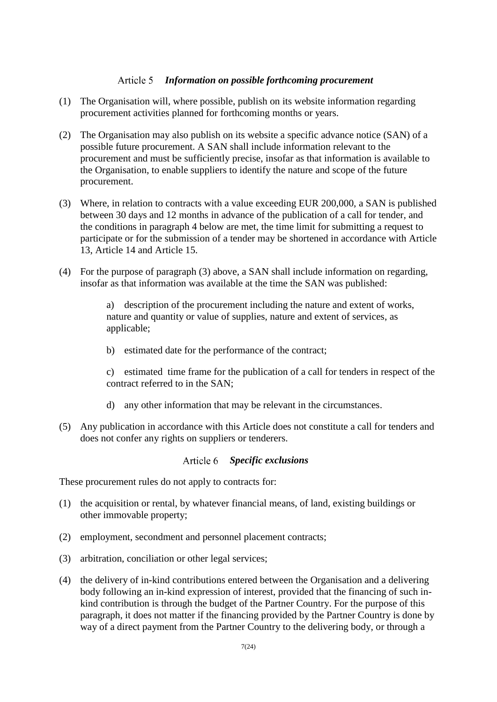#### Article 5 *Information on possible forthcoming procurement*

- <span id="page-6-0"></span>(1) The Organisation will, where possible, publish on its website information regarding procurement activities planned for forthcoming months or years.
- (2) The Organisation may also publish on its website a specific advance notice (SAN) of a possible future procurement. A SAN shall include information relevant to the procurement and must be sufficiently precise, insofar as that information is available to the Organisation, to enable suppliers to identify the nature and scope of the future procurement.
- (3) Where, in relation to contracts with a value exceeding EUR 200,000, a SAN is published between 30 days and 12 months in advance of the publication of a call for tender, and the conditions in paragraph 4 below are met, the time limit for submitting a request to participate or for the submission of a tender may be shortened in accordance with [Article](#page-9-0)  [13,](#page-9-0) [Article 14](#page-9-1) and [Article 15.](#page-10-0)
- (4) For the purpose of paragraph (3) above, a SAN shall include information on regarding, insofar as that information was available at the time the SAN was published:

a) description of the procurement including the nature and extent of works, nature and quantity or value of supplies, nature and extent of services, as applicable;

b) estimated date for the performance of the contract;

c) estimated time frame for the publication of a call for tenders in respect of the contract referred to in the SAN;

- d) any other information that may be relevant in the circumstances.
- (5) Any publication in accordance with this Article does not constitute a call for tenders and does not confer any rights on suppliers or tenderers.

# *Specific exclusions*

These procurement rules do not apply to contracts for:

- (1) the acquisition or rental, by whatever financial means, of land, existing buildings or other immovable property;
- (2) employment, secondment and personnel placement contracts;
- (3) arbitration, conciliation or other legal services;
- (4) the delivery of in-kind contributions entered between the Organisation and a delivering body following an in-kind expression of interest, provided that the financing of such inkind contribution is through the budget of the Partner Country. For the purpose of this paragraph, it does not matter if the financing provided by the Partner Country is done by way of a direct payment from the Partner Country to the delivering body, or through a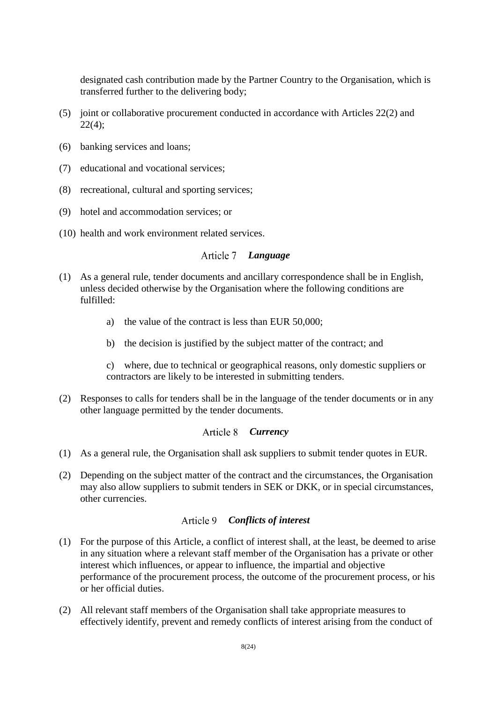designated cash contribution made by the Partner Country to the Organisation, which is transferred further to the delivering body;

- (5) joint or collaborative procurement conducted in accordance with Articles 22(2) and 22(4);
- (6) banking services and loans;
- (7) educational and vocational services;
- (8) recreational, cultural and sporting services;
- (9) hotel and accommodation services; or
- (10) health and work environment related services.

# *Language*

- (1) As a general rule, tender documents and ancillary correspondence shall be in English, unless decided otherwise by the Organisation where the following conditions are fulfilled:
	- a) the value of the contract is less than EUR 50,000;
	- b) the decision is justified by the subject matter of the contract; and

c) where, due to technical or geographical reasons, only domestic suppliers or contractors are likely to be interested in submitting tenders.

(2) Responses to calls for tenders shall be in the language of the tender documents or in any other language permitted by the tender documents.

# *Currency*

- (1) As a general rule, the Organisation shall ask suppliers to submit tender quotes in EUR.
- (2) Depending on the subject matter of the contract and the circumstances, the Organisation may also allow suppliers to submit tenders in SEK or DKK, or in special circumstances, other currencies.

# *Conflicts of interest*

- (1) For the purpose of this Article, a conflict of interest shall, at the least, be deemed to arise in any situation where a relevant staff member of the Organisation has a private or other interest which influences, or appear to influence, the impartial and objective performance of the procurement process, the outcome of the procurement process, or his or her official duties.
- (2) All relevant staff members of the Organisation shall take appropriate measures to effectively identify, prevent and remedy conflicts of interest arising from the conduct of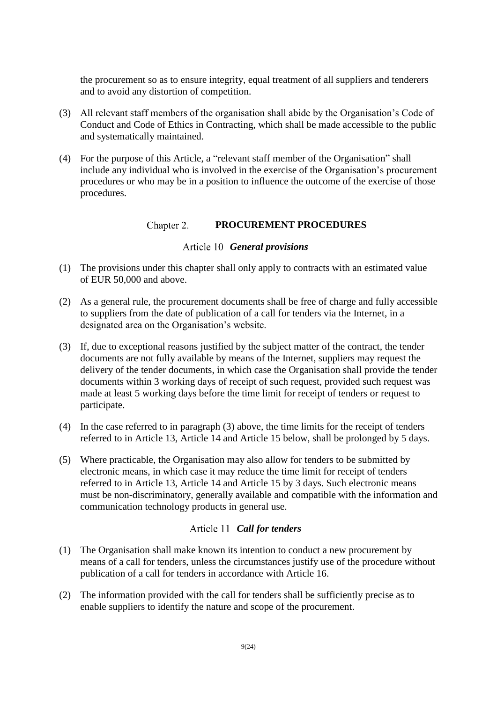the procurement so as to ensure integrity, equal treatment of all suppliers and tenderers and to avoid any distortion of competition.

- (3) All relevant staff members of the organisation shall abide by the Organisation's Code of Conduct and Code of Ethics in Contracting, which shall be made accessible to the public and systematically maintained.
- <span id="page-8-2"></span>(4) For the purpose of this Article, a "relevant staff member of the Organisation" shall include any individual who is involved in the exercise of the Organisation's procurement procedures or who may be in a position to influence the outcome of the exercise of those procedures.

#### Chapter 2. **PROCUREMENT PROCEDURES**

# *General provisions*

- <span id="page-8-1"></span>(1) The provisions under this chapter shall only apply to contracts with an estimated value of EUR 50,000 and above.
- (2) As a general rule, the procurement documents shall be free of charge and fully accessible to suppliers from the date of publication of a call for tenders via the Internet, in a designated area on the Organisation's website.
- (3) If, due to exceptional reasons justified by the subject matter of the contract, the tender documents are not fully available by means of the Internet, suppliers may request the delivery of the tender documents, in which case the Organisation shall provide the tender documents within 3 working days of receipt of such request, provided such request was made at least 5 working days before the time limit for receipt of tenders or request to participate.
- (4) In the case referred to in paragraph (3) above, the time limits for the receipt of tenders referred to in [Article 13,](#page-9-0) [Article 14](#page-9-1) and [Article 15](#page-10-0) below, shall be prolonged by 5 days.
- (5) Where practicable, the Organisation may also allow for tenders to be submitted by electronic means, in which case it may reduce the time limit for receipt of tenders referred to in [Article 13,](#page-9-0) [Article 14](#page-9-1) and [Article 15](#page-10-0) by 3 days. Such electronic means must be non-discriminatory, generally available and compatible with the information and communication technology products in general use.

# *Call for tenders*

- <span id="page-8-0"></span>(1) The Organisation shall make known its intention to conduct a new procurement by means of a call for tenders, unless the circumstances justify use of the procedure without publication of a call for tenders in accordance with [Article 16.](#page-11-0)
- (2) The information provided with the call for tenders shall be sufficiently precise as to enable suppliers to identify the nature and scope of the procurement.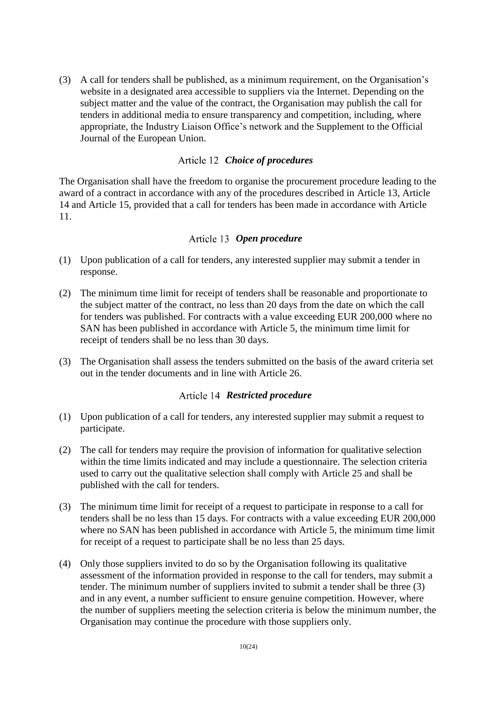(3) A call for tenders shall be published, as a minimum requirement, on the Organisation's website in a designated area accessible to suppliers via the Internet. Depending on the subject matter and the value of the contract, the Organisation may publish the call for tenders in additional media to ensure transparency and competition, including, where appropriate, the Industry Liaison Office's network and the Supplement to the Official Journal of the European Union.

# *Choice of procedures*

The Organisation shall have the freedom to organise the procurement procedure leading to the award of a contract in accordance with any of the procedures described in [Article 13,](#page-9-0) [Article](#page-9-1)  [14](#page-9-1) and [Article 15,](#page-10-0) provided that a call for tenders has been made in accordance with [Article](#page-8-0)  [11.](#page-8-0)

# *Open procedure*

- <span id="page-9-0"></span>(1) Upon publication of a call for tenders, any interested supplier may submit a tender in response.
- (2) The minimum time limit for receipt of tenders shall be reasonable and proportionate to the subject matter of the contract, no less than 20 days from the date on which the call for tenders was published. For contracts with a value exceeding EUR 200,000 where no SAN has been published in accordance with [Article 5,](#page-6-0) the minimum time limit for receipt of tenders shall be no less than 30 days.
- (3) The Organisation shall assess the tenders submitted on the basis of the award criteria set out in the tender documents and in line with [Article 26.](#page-16-0)

# *Restricted procedure*

- <span id="page-9-1"></span>(1) Upon publication of a call for tenders, any interested supplier may submit a request to participate.
- (2) The call for tenders may require the provision of information for qualitative selection within the time limits indicated and may include a questionnaire. The selection criteria used to carry out the qualitative selection shall comply with [Article 25](#page-16-1) and shall be published with the call for tenders.
- (3) The minimum time limit for receipt of a request to participate in response to a call for tenders shall be no less than 15 days. For contracts with a value exceeding EUR 200,000 where no SAN has been published in accordance with [Article 5,](#page-6-0) the minimum time limit for receipt of a request to participate shall be no less than 25 days.
- (4) Only those suppliers invited to do so by the Organisation following its qualitative assessment of the information provided in response to the call for tenders, may submit a tender. The minimum number of suppliers invited to submit a tender shall be three (3) and in any event, a number sufficient to ensure genuine competition. However, where the number of suppliers meeting the selection criteria is below the minimum number, the Organisation may continue the procedure with those suppliers only.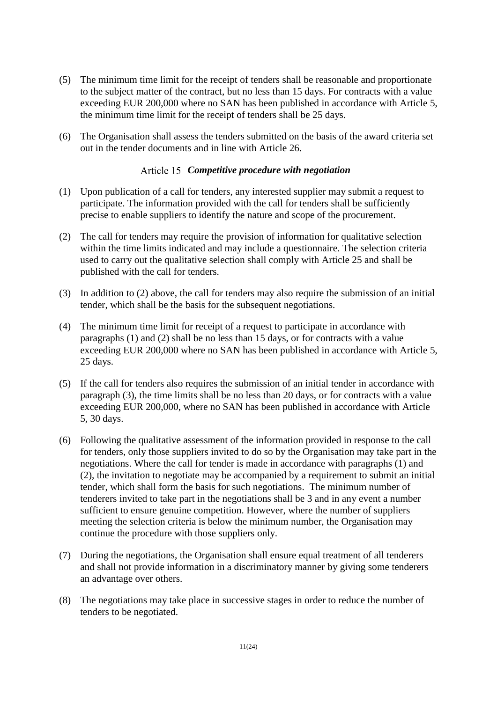- (5) The minimum time limit for the receipt of tenders shall be reasonable and proportionate to the subject matter of the contract, but no less than 15 days. For contracts with a value exceeding EUR 200,000 where no SAN has been published in accordance with [Article 5,](#page-6-0) the minimum time limit for the receipt of tenders shall be 25 days.
- (6) The Organisation shall assess the tenders submitted on the basis of the award criteria set out in the tender documents and in line with [Article 26.](#page-16-0)

# *Competitive procedure with negotiation*

- <span id="page-10-0"></span>(1) Upon publication of a call for tenders, any interested supplier may submit a request to participate. The information provided with the call for tenders shall be sufficiently precise to enable suppliers to identify the nature and scope of the procurement.
- (2) The call for tenders may require the provision of information for qualitative selection within the time limits indicated and may include a questionnaire. The selection criteria used to carry out the qualitative selection shall comply with [Article 25](#page-16-1) and shall be published with the call for tenders.
- (3) In addition to (2) above, the call for tenders may also require the submission of an initial tender, which shall be the basis for the subsequent negotiations.
- (4) The minimum time limit for receipt of a request to participate in accordance with paragraphs (1) and (2) shall be no less than 15 days, or for contracts with a value exceeding EUR 200,000 where no SAN has been published in accordance with [Article 5,](#page-6-0) 25 days.
- (5) If the call for tenders also requires the submission of an initial tender in accordance with paragraph (3), the time limits shall be no less than 20 days, or for contracts with a value exceeding EUR 200,000, where no SAN has been published in accordance with [Article](#page-6-0)  [5,](#page-6-0) 30 days.
- (6) Following the qualitative assessment of the information provided in response to the call for tenders, only those suppliers invited to do so by the Organisation may take part in the negotiations. Where the call for tender is made in accordance with paragraphs (1) and (2), the invitation to negotiate may be accompanied by a requirement to submit an initial tender, which shall form the basis for such negotiations. The minimum number of tenderers invited to take part in the negotiations shall be 3 and in any event a number sufficient to ensure genuine competition. However, where the number of suppliers meeting the selection criteria is below the minimum number, the Organisation may continue the procedure with those suppliers only.
- (7) During the negotiations, the Organisation shall ensure equal treatment of all tenderers and shall not provide information in a discriminatory manner by giving some tenderers an advantage over others.
- (8) The negotiations may take place in successive stages in order to reduce the number of tenders to be negotiated.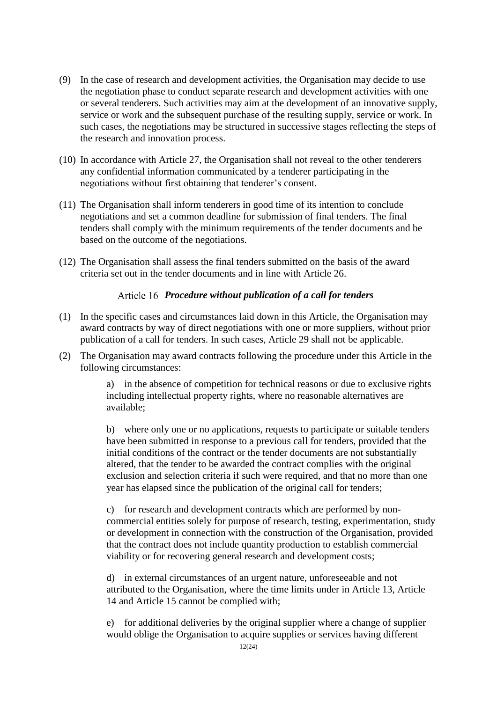- (9) In the case of research and development activities, the Organisation may decide to use the negotiation phase to conduct separate research and development activities with one or several tenderers. Such activities may aim at the development of an innovative supply, service or work and the subsequent purchase of the resulting supply, service or work. In such cases, the negotiations may be structured in successive stages reflecting the steps of the research and innovation process.
- (10) In accordance with [Article 27,](#page-17-0) the Organisation shall not reveal to the other tenderers any confidential information communicated by a tenderer participating in the negotiations without first obtaining that tenderer's consent.
- (11) The Organisation shall inform tenderers in good time of its intention to conclude negotiations and set a common deadline for submission of final tenders. The final tenders shall comply with the minimum requirements of the tender documents and be based on the outcome of the negotiations.
- (12) The Organisation shall assess the final tenders submitted on the basis of the award criteria set out in the tender documents and in line with [Article 26.](#page-16-0)

# *Procedure without publication of a call for tenders*

- <span id="page-11-0"></span>(1) In the specific cases and circumstances laid down in this Article, the Organisation may award contracts by way of direct negotiations with one or more suppliers, without prior publication of a call for tenders. In such cases, [Article 29](#page-18-0) shall not be applicable.
- <span id="page-11-1"></span>(2) The Organisation may award contracts following the procedure under this Article in the following circumstances:

a) in the absence of competition for technical reasons or due to exclusive rights including intellectual property rights, where no reasonable alternatives are available;

b) where only one or no applications, requests to participate or suitable tenders have been submitted in response to a previous call for tenders, provided that the initial conditions of the contract or the tender documents are not substantially altered, that the tender to be awarded the contract complies with the original exclusion and selection criteria if such were required, and that no more than one year has elapsed since the publication of the original call for tenders;

c) for research and development contracts which are performed by noncommercial entities solely for purpose of research, testing, experimentation, study or development in connection with the construction of the Organisation, provided that the contract does not include quantity production to establish commercial viability or for recovering general research and development costs;

d) in external circumstances of an urgent nature, unforeseeable and not attributed to the Organisation, where the time limits under in [Article 13,](#page-9-0) [Article](#page-9-1)  [14](#page-9-1) and [Article 15](#page-10-0) cannot be complied with;

e) for additional deliveries by the original supplier where a change of supplier would oblige the Organisation to acquire supplies or services having different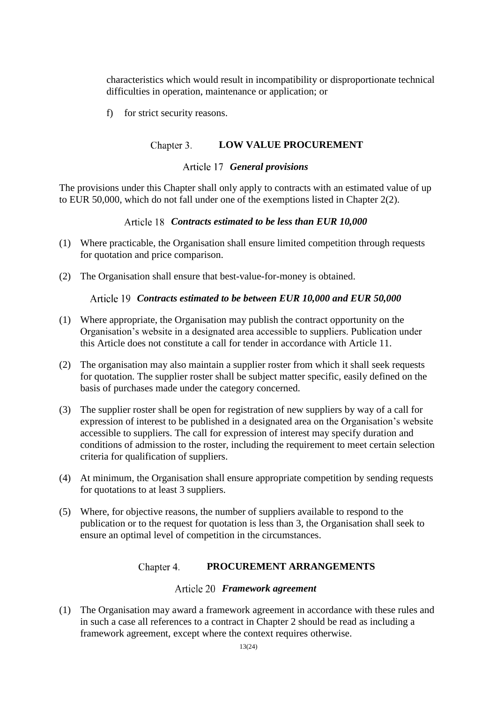characteristics which would result in incompatibility or disproportionate technical difficulties in operation, maintenance or application; or

<span id="page-12-0"></span>f) for strict security reasons.

#### Chapter 3. **LOW VALUE PROCUREMENT**

### *General provisions*

The provisions under this Chapter shall only apply to contracts with an estimated value of up to EUR 50,000, which do not fall under one of the exemptions listed in [Chapter 2\(2\).](#page-11-1)

### *Contracts estimated to be less than EUR 10,000*

- (1) Where practicable, the Organisation shall ensure limited competition through requests for quotation and price comparison.
- (2) The Organisation shall ensure that best-value-for-money is obtained.

### *Contracts estimated to be between EUR 10,000 and EUR 50,000*

- (1) Where appropriate, the Organisation may publish the contract opportunity on the Organisation's website in a designated area accessible to suppliers. Publication under this Article does not constitute a call for tender in accordance with [Article 11.](#page-8-0)
- (2) The organisation may also maintain a supplier roster from which it shall seek requests for quotation. The supplier roster shall be subject matter specific, easily defined on the basis of purchases made under the category concerned.
- (3) The supplier roster shall be open for registration of new suppliers by way of a call for expression of interest to be published in a designated area on the Organisation's website accessible to suppliers. The call for expression of interest may specify duration and conditions of admission to the roster, including the requirement to meet certain selection criteria for qualification of suppliers.
- (4) At minimum, the Organisation shall ensure appropriate competition by sending requests for quotations to at least 3 suppliers.
- (5) Where, for objective reasons, the number of suppliers available to respond to the publication or to the request for quotation is less than 3, the Organisation shall seek to ensure an optimal level of competition in the circumstances.

#### Chapter 4. **PROCUREMENT ARRANGEMENTS**

### *Framework agreement*

(1) The Organisation may award a framework agreement in accordance with these rules and in such a case all references to a contract in [Chapter 2](#page-8-1) should be read as including a framework agreement, except where the context requires otherwise.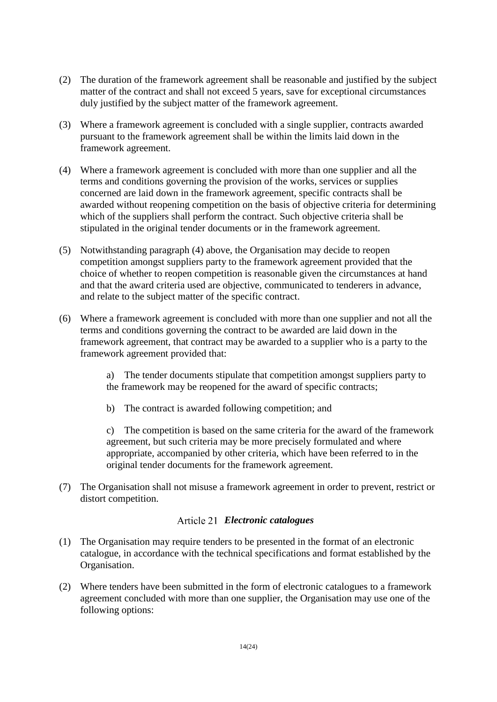- (2) The duration of the framework agreement shall be reasonable and justified by the subject matter of the contract and shall not exceed 5 years, save for exceptional circumstances duly justified by the subject matter of the framework agreement.
- (3) Where a framework agreement is concluded with a single supplier, contracts awarded pursuant to the framework agreement shall be within the limits laid down in the framework agreement.
- (4) Where a framework agreement is concluded with more than one supplier and all the terms and conditions governing the provision of the works, services or supplies concerned are laid down in the framework agreement, specific contracts shall be awarded without reopening competition on the basis of objective criteria for determining which of the suppliers shall perform the contract. Such objective criteria shall be stipulated in the original tender documents or in the framework agreement.
- (5) Notwithstanding paragraph (4) above, the Organisation may decide to reopen competition amongst suppliers party to the framework agreement provided that the choice of whether to reopen competition is reasonable given the circumstances at hand and that the award criteria used are objective, communicated to tenderers in advance, and relate to the subject matter of the specific contract.
- (6) Where a framework agreement is concluded with more than one supplier and not all the terms and conditions governing the contract to be awarded are laid down in the framework agreement, that contract may be awarded to a supplier who is a party to the framework agreement provided that:

a) The tender documents stipulate that competition amongst suppliers party to the framework may be reopened for the award of specific contracts;

b) The contract is awarded following competition; and

c) The competition is based on the same criteria for the award of the framework agreement, but such criteria may be more precisely formulated and where appropriate, accompanied by other criteria, which have been referred to in the original tender documents for the framework agreement.

(7) The Organisation shall not misuse a framework agreement in order to prevent, restrict or distort competition.

# *Electronic catalogues*

- (1) The Organisation may require tenders to be presented in the format of an electronic catalogue, in accordance with the technical specifications and format established by the Organisation.
- (2) Where tenders have been submitted in the form of electronic catalogues to a framework agreement concluded with more than one supplier, the Organisation may use one of the following options: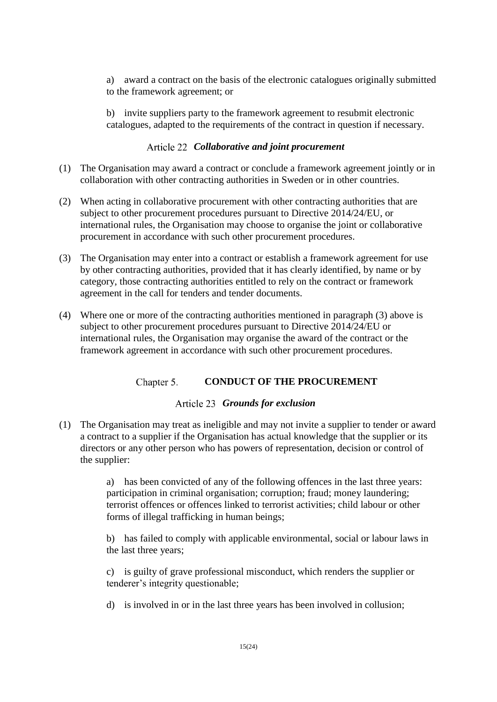a) award a contract on the basis of the electronic catalogues originally submitted to the framework agreement; or

b) invite suppliers party to the framework agreement to resubmit electronic catalogues, adapted to the requirements of the contract in question if necessary.

# *Collaborative and joint procurement*

- (1) The Organisation may award a contract or conclude a framework agreement jointly or in collaboration with other contracting authorities in Sweden or in other countries.
- (2) When acting in collaborative procurement with other contracting authorities that are subject to other procurement procedures pursuant to Directive 2014/24/EU, or international rules, the Organisation may choose to organise the joint or collaborative procurement in accordance with such other procurement procedures.
- (3) The Organisation may enter into a contract or establish a framework agreement for use by other contracting authorities, provided that it has clearly identified, by name or by category, those contracting authorities entitled to rely on the contract or framework agreement in the call for tenders and tender documents.
- (4) Where one or more of the contracting authorities mentioned in paragraph (3) above is subject to other procurement procedures pursuant to Directive 2014/24/EU or international rules, the Organisation may organise the award of the contract or the framework agreement in accordance with such other procurement procedures.

#### Chapter 5. **CONDUCT OF THE PROCUREMENT**

# *Grounds for exclusion*

<span id="page-14-0"></span>(1) The Organisation may treat as ineligible and may not invite a supplier to tender or award a contract to a supplier if the Organisation has actual knowledge that the supplier or its directors or any other person who has powers of representation, decision or control of the supplier:

> a) has been convicted of any of the following offences in the last three years: participation in criminal organisation; corruption; fraud; money laundering; terrorist offences or offences linked to terrorist activities; child labour or other forms of illegal trafficking in human beings;

b) has failed to comply with applicable environmental, social or labour laws in the last three years;

c) is guilty of grave professional misconduct, which renders the supplier or tenderer's integrity questionable;

d) is involved in or in the last three years has been involved in collusion;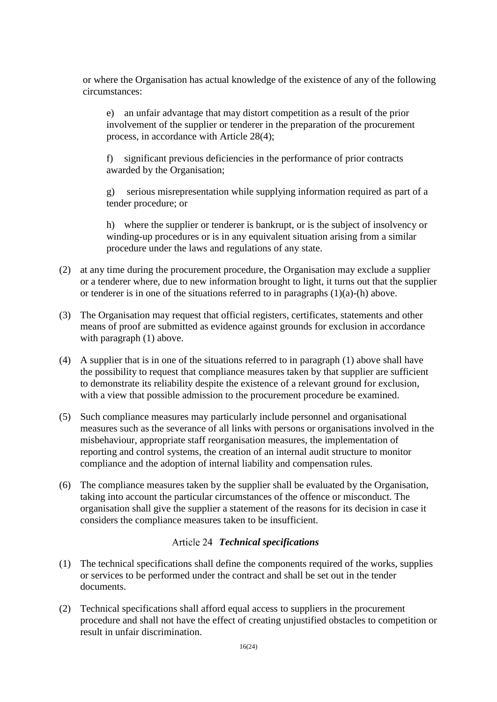or where the Organisation has actual knowledge of the existence of any of the following circumstances:

e) an unfair advantage that may distort competition as a result of the prior involvement of the supplier or tenderer in the preparation of the procurement process, in accordance with Article 28(4);

f) significant previous deficiencies in the performance of prior contracts awarded by the Organisation;

g) serious misrepresentation while supplying information required as part of a tender procedure; or

h) where the supplier or tenderer is bankrupt, or is the subject of insolvency or winding-up procedures or is in any equivalent situation arising from a similar procedure under the laws and regulations of any state.

- (2) at any time during the procurement procedure, the Organisation may exclude a supplier or a tenderer where, due to new information brought to light, it turns out that the supplier or tenderer is in one of the situations referred to in paragraphs (1)(a)-(h) above.
- (3) The Organisation may request that official registers, certificates, statements and other means of proof are submitted as evidence against grounds for exclusion in accordance with paragraph (1) above.
- (4) A supplier that is in one of the situations referred to in paragraph (1) above shall have the possibility to request that compliance measures taken by that supplier are sufficient to demonstrate its reliability despite the existence of a relevant ground for exclusion, with a view that possible admission to the procurement procedure be examined.
- (5) Such compliance measures may particularly include personnel and organisational measures such as the severance of all links with persons or organisations involved in the misbehaviour, appropriate staff reorganisation measures, the implementation of reporting and control systems, the creation of an internal audit structure to monitor compliance and the adoption of internal liability and compensation rules.
- (6) The compliance measures taken by the supplier shall be evaluated by the Organisation, taking into account the particular circumstances of the offence or misconduct. The organisation shall give the supplier a statement of the reasons for its decision in case it considers the compliance measures taken to be insufficient.

# *Technical specifications*

- (1) The technical specifications shall define the components required of the works, supplies or services to be performed under the contract and shall be set out in the tender documents.
- (2) Technical specifications shall afford equal access to suppliers in the procurement procedure and shall not have the effect of creating unjustified obstacles to competition or result in unfair discrimination.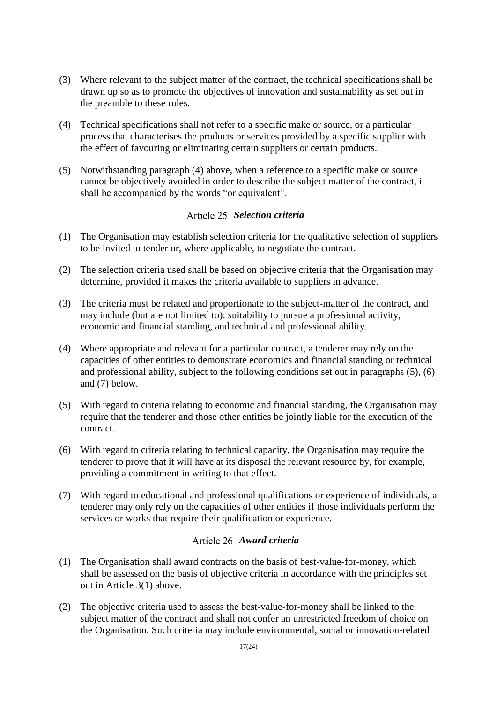- (3) Where relevant to the subject matter of the contract, the technical specifications shall be drawn up so as to promote the objectives of innovation and sustainability as set out in the preamble to these rules.
- (4) Technical specifications shall not refer to a specific make or source, or a particular process that characterises the products or services provided by a specific supplier with the effect of favouring or eliminating certain suppliers or certain products.
- (5) Notwithstanding paragraph (4) above, when a reference to a specific make or source cannot be objectively avoided in order to describe the subject matter of the contract, it shall be accompanied by the words "or equivalent".

# *Selection criteria*

- <span id="page-16-1"></span>(1) The Organisation may establish selection criteria for the qualitative selection of suppliers to be invited to tender or, where applicable, to negotiate the contract.
- (2) The selection criteria used shall be based on objective criteria that the Organisation may determine, provided it makes the criteria available to suppliers in advance.
- (3) The criteria must be related and proportionate to the subject-matter of the contract, and may include (but are not limited to): suitability to pursue a professional activity, economic and financial standing, and technical and professional ability.
- (4) Where appropriate and relevant for a particular contract, a tenderer may rely on the capacities of other entities to demonstrate economics and financial standing or technical and professional ability, subject to the following conditions set out in paragraphs (5), (6) and (7) below.
- (5) With regard to criteria relating to economic and financial standing, the Organisation may require that the tenderer and those other entities be jointly liable for the execution of the contract.
- (6) With regard to criteria relating to technical capacity, the Organisation may require the tenderer to prove that it will have at its disposal the relevant resource by, for example, providing a commitment in writing to that effect.
- (7) With regard to educational and professional qualifications or experience of individuals, a tenderer may only rely on the capacities of other entities if those individuals perform the services or works that require their qualification or experience.

# *Award criteria*

- <span id="page-16-0"></span>(1) The Organisation shall award contracts on the basis of best-value-for-money, which shall be assessed on the basis of objective criteria in accordance with the principles set out in Article [3\(1\)](#page-5-0) above.
- (2) The objective criteria used to assess the best-value-for-money shall be linked to the subject matter of the contract and shall not confer an unrestricted freedom of choice on the Organisation. Such criteria may include environmental, social or innovation-related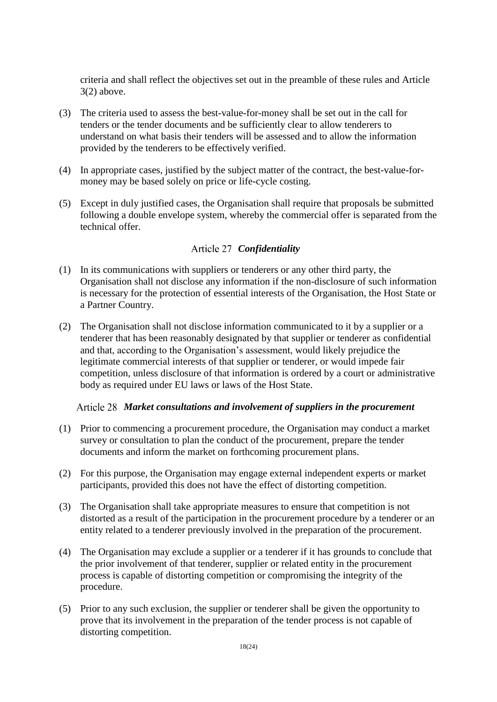criteria and shall reflect the objectives set out in the preamble of these rules and Article 3(2) above.

- (3) The criteria used to assess the best-value-for-money shall be set out in the call for tenders or the tender documents and be sufficiently clear to allow tenderers to understand on what basis their tenders will be assessed and to allow the information provided by the tenderers to be effectively verified.
- (4) In appropriate cases, justified by the subject matter of the contract, the best-value-formoney may be based solely on price or life-cycle costing.
- (5) Except in duly justified cases, the Organisation shall require that proposals be submitted following a double envelope system, whereby the commercial offer is separated from the technical offer.

# *Confidentiality*

- <span id="page-17-0"></span>(1) In its communications with suppliers or tenderers or any other third party, the Organisation shall not disclose any information if the non-disclosure of such information is necessary for the protection of essential interests of the Organisation, the Host State or a Partner Country.
- (2) The Organisation shall not disclose information communicated to it by a supplier or a tenderer that has been reasonably designated by that supplier or tenderer as confidential and that, according to the Organisation's assessment, would likely prejudice the legitimate commercial interests of that supplier or tenderer, or would impede fair competition, unless disclosure of that information is ordered by a court or administrative body as required under EU laws or laws of the Host State.

# *Market consultations and involvement of suppliers in the procurement*

- (1) Prior to commencing a procurement procedure, the Organisation may conduct a market survey or consultation to plan the conduct of the procurement, prepare the tender documents and inform the market on forthcoming procurement plans.
- (2) For this purpose, the Organisation may engage external independent experts or market participants, provided this does not have the effect of distorting competition.
- (3) The Organisation shall take appropriate measures to ensure that competition is not distorted as a result of the participation in the procurement procedure by a tenderer or an entity related to a tenderer previously involved in the preparation of the procurement.
- (4) The Organisation may exclude a supplier or a tenderer if it has grounds to conclude that the prior involvement of that tenderer, supplier or related entity in the procurement process is capable of distorting competition or compromising the integrity of the procedure.
- (5) Prior to any such exclusion, the supplier or tenderer shall be given the opportunity to prove that its involvement in the preparation of the tender process is not capable of distorting competition.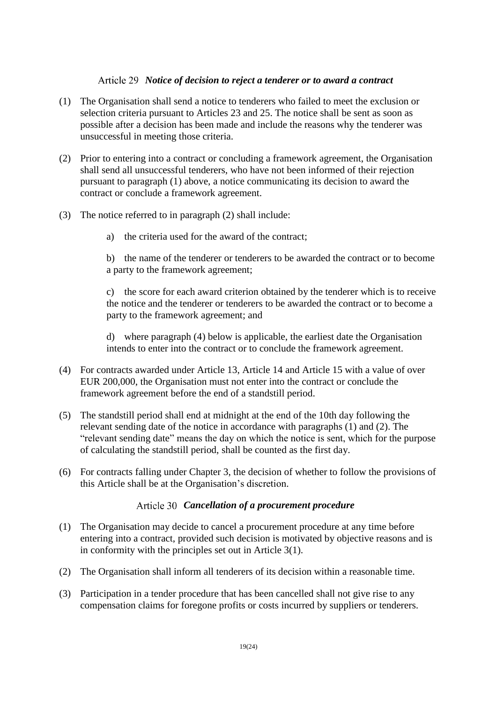# *Notice of decision to reject a tenderer or to award a contract*

- <span id="page-18-0"></span>(1) The Organisation shall send a notice to tenderers who failed to meet the exclusion or selection criteria pursuant to Articles 23 and 25. The notice shall be sent as soon as possible after a decision has been made and include the reasons why the tenderer was unsuccessful in meeting those criteria.
- (2) Prior to entering into a contract or concluding a framework agreement, the Organisation shall send all unsuccessful tenderers, who have not been informed of their rejection pursuant to paragraph (1) above, a notice communicating its decision to award the contract or conclude a framework agreement.
- (3) The notice referred to in paragraph (2) shall include:
	- a) the criteria used for the award of the contract;

b) the name of the tenderer or tenderers to be awarded the contract or to become a party to the framework agreement;

c) the score for each award criterion obtained by the tenderer which is to receive the notice and the tenderer or tenderers to be awarded the contract or to become a party to the framework agreement; and

d) where paragraph (4) below is applicable, the earliest date the Organisation intends to enter into the contract or to conclude the framework agreement.

- (4) For contracts awarded under [Article 13,](#page-9-0) [Article 14](#page-9-1) and [Article 15](#page-10-0) with a value of over EUR 200,000, the Organisation must not enter into the contract or conclude the framework agreement before the end of a standstill period.
- (5) The standstill period shall end at midnight at the end of the 10th day following the relevant sending date of the notice in accordance with paragraphs (1) and (2). The "relevant sending date" means the day on which the notice is sent, which for the purpose of calculating the standstill period, shall be counted as the first day.
- (6) For contracts falling under [Chapter 3,](#page-12-0) the decision of whether to follow the provisions of this Article shall be at the Organisation's discretion.

# *Cancellation of a procurement procedure*

- (1) The Organisation may decide to cancel a procurement procedure at any time before entering into a contract, provided such decision is motivated by objective reasons and is in conformity with the principles set out in Article 3(1).
- (2) The Organisation shall inform all tenderers of its decision within a reasonable time.
- (3) Participation in a tender procedure that has been cancelled shall not give rise to any compensation claims for foregone profits or costs incurred by suppliers or tenderers.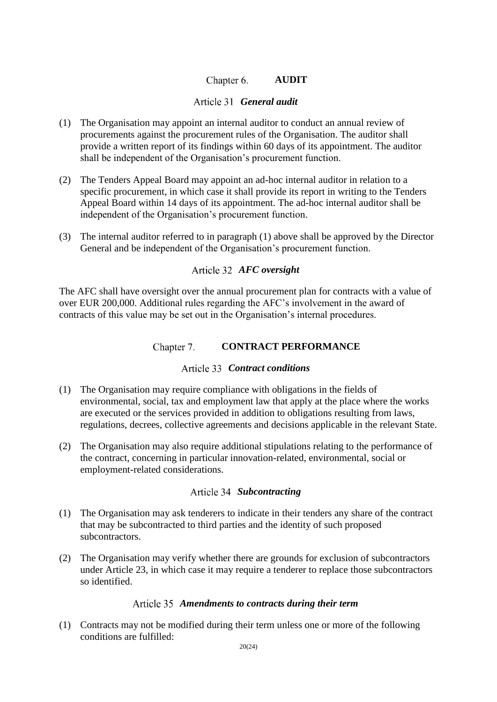#### Chapter 6. **AUDIT**

# *General audit*

- (1) The Organisation may appoint an internal auditor to conduct an annual review of procurements against the procurement rules of the Organisation. The auditor shall provide a written report of its findings within 60 days of its appointment. The auditor shall be independent of the Organisation's procurement function.
- <span id="page-19-0"></span>(2) The Tenders Appeal Board may appoint an ad-hoc internal auditor in relation to a specific procurement, in which case it shall provide its report in writing to the Tenders Appeal Board within 14 days of its appointment. The ad-hoc internal auditor shall be independent of the Organisation's procurement function.
- (3) The internal auditor referred to in paragraph (1) above shall be approved by the Director General and be independent of the Organisation's procurement function.

# *AFC oversight*

The AFC shall have oversight over the annual procurement plan for contracts with a value of over EUR 200,000. Additional rules regarding the AFC's involvement in the award of contracts of this value may be set out in the Organisation's internal procedures.

#### Chapter 7. **CONTRACT PERFORMANCE**

# *Contract conditions*

- (1) The Organisation may require compliance with obligations in the fields of environmental, social, tax and employment law that apply at the place where the works are executed or the services provided in addition to obligations resulting from laws, regulations, decrees, collective agreements and decisions applicable in the relevant State.
- (2) The Organisation may also require additional stipulations relating to the performance of the contract, concerning in particular innovation-related, environmental, social or employment-related considerations.

# Article 34 Subcontracting

- (1) The Organisation may ask tenderers to indicate in their tenders any share of the contract that may be subcontracted to third parties and the identity of such proposed subcontractors.
- (2) The Organisation may verify whether there are grounds for exclusion of subcontractors under [Article 23,](#page-14-0) in which case it may require a tenderer to replace those subcontractors so identified.

# *Amendments to contracts during their term*

(1) Contracts may not be modified during their term unless one or more of the following conditions are fulfilled: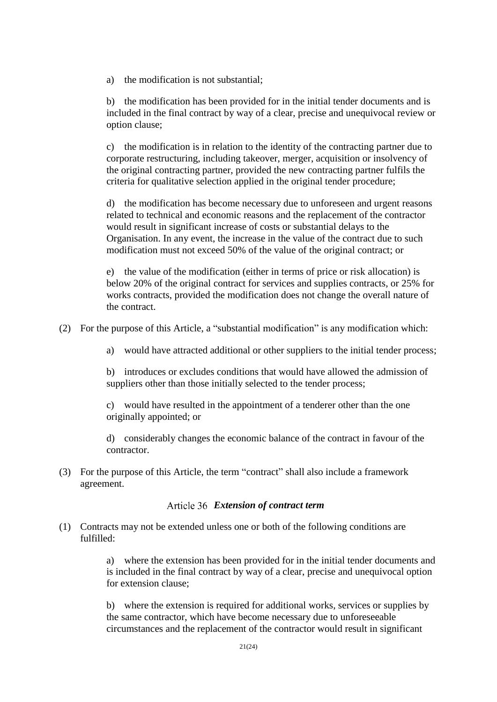a) the modification is not substantial;

b) the modification has been provided for in the initial tender documents and is included in the final contract by way of a clear, precise and unequivocal review or option clause;

c) the modification is in relation to the identity of the contracting partner due to corporate restructuring, including takeover, merger, acquisition or insolvency of the original contracting partner, provided the new contracting partner fulfils the criteria for qualitative selection applied in the original tender procedure;

d) the modification has become necessary due to unforeseen and urgent reasons related to technical and economic reasons and the replacement of the contractor would result in significant increase of costs or substantial delays to the Organisation. In any event, the increase in the value of the contract due to such modification must not exceed 50% of the value of the original contract; or

e) the value of the modification (either in terms of price or risk allocation) is below 20% of the original contract for services and supplies contracts, or 25% for works contracts, provided the modification does not change the overall nature of the contract.

(2) For the purpose of this Article, a "substantial modification" is any modification which:

a) would have attracted additional or other suppliers to the initial tender process;

b) introduces or excludes conditions that would have allowed the admission of suppliers other than those initially selected to the tender process;

c) would have resulted in the appointment of a tenderer other than the one originally appointed; or

d) considerably changes the economic balance of the contract in favour of the contractor.

(3) For the purpose of this Article, the term "contract" shall also include a framework agreement.

### *Extension of contract term*

(1) Contracts may not be extended unless one or both of the following conditions are fulfilled:

> a) where the extension has been provided for in the initial tender documents and is included in the final contract by way of a clear, precise and unequivocal option for extension clause;

b) where the extension is required for additional works, services or supplies by the same contractor, which have become necessary due to unforeseeable circumstances and the replacement of the contractor would result in significant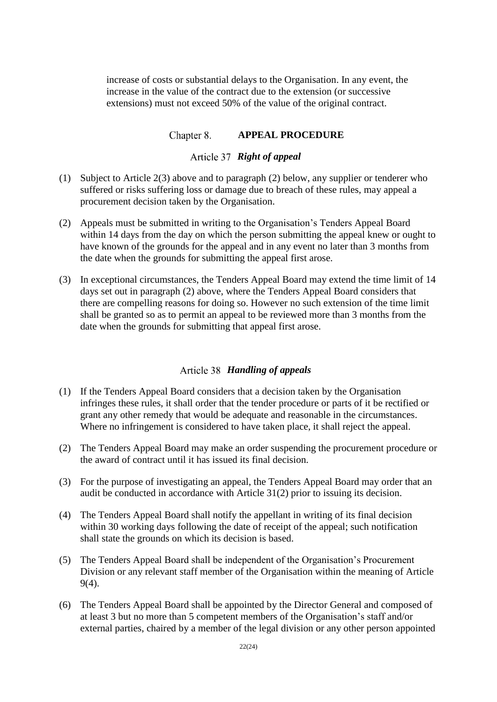increase of costs or substantial delays to the Organisation. In any event, the increase in the value of the contract due to the extension (or successive extensions) must not exceed 50% of the value of the original contract.

#### **APPEAL PROCEDURE** Chapter 8.

# *Right of appeal*

- (1) Subject to Article 2(3) above and to paragraph (2) below, any supplier or tenderer who suffered or risks suffering loss or damage due to breach of these rules, may appeal a procurement decision taken by the Organisation.
- (2) Appeals must be submitted in writing to the Organisation's Tenders Appeal Board within 14 days from the day on which the person submitting the appeal knew or ought to have known of the grounds for the appeal and in any event no later than 3 months from the date when the grounds for submitting the appeal first arose.
- (3) In exceptional circumstances, the Tenders Appeal Board may extend the time limit of 14 days set out in paragraph (2) above, where the Tenders Appeal Board considers that there are compelling reasons for doing so. However no such extension of the time limit shall be granted so as to permit an appeal to be reviewed more than 3 months from the date when the grounds for submitting that appeal first arose.

# *Handling of appeals*

- (1) If the Tenders Appeal Board considers that a decision taken by the Organisation infringes these rules, it shall order that the tender procedure or parts of it be rectified or grant any other remedy that would be adequate and reasonable in the circumstances. Where no infringement is considered to have taken place, it shall reject the appeal.
- (2) The Tenders Appeal Board may make an order suspending the procurement procedure or the award of contract until it has issued its final decision.
- (3) For the purpose of investigating an appeal, the Tenders Appeal Board may order that an audit be conducted in accordance with Article 3[1\(2\)](#page-19-0) prior to issuing its decision.
- (4) The Tenders Appeal Board shall notify the appellant in writing of its final decision within 30 working days following the date of receipt of the appeal; such notification shall state the grounds on which its decision is based.
- (5) The Tenders Appeal Board shall be independent of the Organisation's Procurement Division or any relevant staff member of the Organisation within the meaning of Article [9\(4\).](#page-8-2)
- (6) The Tenders Appeal Board shall be appointed by the Director General and composed of at least 3 but no more than 5 competent members of the Organisation's staff and/or external parties, chaired by a member of the legal division or any other person appointed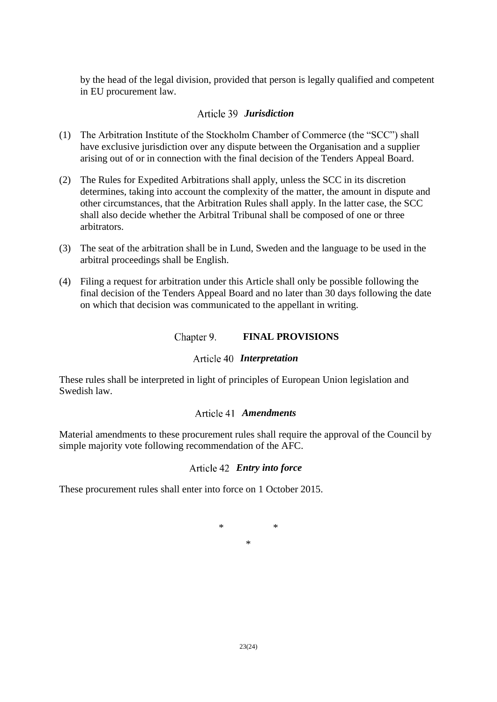by the head of the legal division, provided that person is legally qualified and competent in EU procurement law.

# *Jurisdiction*

- (1) The Arbitration Institute of the Stockholm Chamber of Commerce (the "SCC") shall have exclusive jurisdiction over any dispute between the Organisation and a supplier arising out of or in connection with the final decision of the Tenders Appeal Board.
- (2) The Rules for Expedited Arbitrations shall apply, unless the SCC in its discretion determines, taking into account the complexity of the matter, the amount in dispute and other circumstances, that the Arbitration Rules shall apply. In the latter case, the SCC shall also decide whether the Arbitral Tribunal shall be composed of one or three arbitrators.
- (3) The seat of the arbitration shall be in Lund, Sweden and the language to be used in the arbitral proceedings shall be English.
- (4) Filing a request for arbitration under this Article shall only be possible following the final decision of the Tenders Appeal Board and no later than 30 days following the date on which that decision was communicated to the appellant in writing.

#### Chapter 9. **FINAL PROVISIONS**

# *Interpretation*

These rules shall be interpreted in light of principles of European Union legislation and Swedish law.

# *Amendments*

Material amendments to these procurement rules shall require the approval of the Council by simple majority vote following recommendation of the AFC.

# *Entry into force*

These procurement rules shall enter into force on 1 October 2015.

$$
\begin{matrix} * & * \\ * & * \end{matrix}
$$